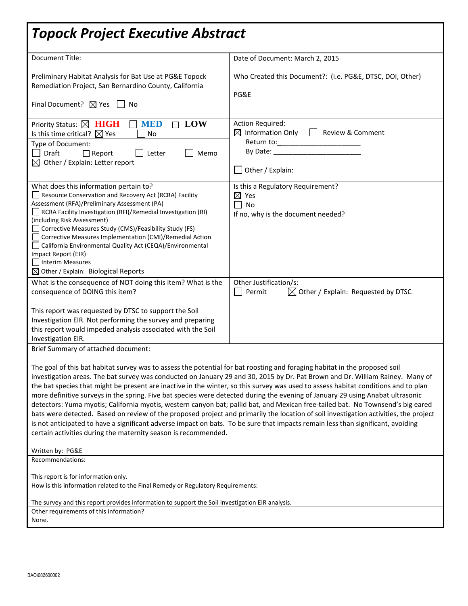# *Topock Project Executive Abstract*

| <b>Document Title:</b>                                                                                                                                                                                                                                                                                                                                                                                                                                                                                                                                                                                                                                                                                                                                                                                                                                                                                                                                                                                                                                                         | Date of Document: March 2, 2015                                                                         |  |  |  |
|--------------------------------------------------------------------------------------------------------------------------------------------------------------------------------------------------------------------------------------------------------------------------------------------------------------------------------------------------------------------------------------------------------------------------------------------------------------------------------------------------------------------------------------------------------------------------------------------------------------------------------------------------------------------------------------------------------------------------------------------------------------------------------------------------------------------------------------------------------------------------------------------------------------------------------------------------------------------------------------------------------------------------------------------------------------------------------|---------------------------------------------------------------------------------------------------------|--|--|--|
| Preliminary Habitat Analysis for Bat Use at PG&E Topock<br>Remediation Project, San Bernardino County, California<br>Final Document? $\boxtimes$ Yes $\Box$ No                                                                                                                                                                                                                                                                                                                                                                                                                                                                                                                                                                                                                                                                                                                                                                                                                                                                                                                 | Who Created this Document?: (i.e. PG&E, DTSC, DOI, Other)<br>PG&E                                       |  |  |  |
| <b>LOW</b><br>Priority Status: X HIGH<br><b>MED</b><br>$\Box$<br>Is this time critical? $\boxtimes$ Yes<br>No<br>Type of Document:<br>Letter<br>Draft<br>$\Box$ Report<br>Memo<br>$\boxtimes$ Other / Explain: Letter report                                                                                                                                                                                                                                                                                                                                                                                                                                                                                                                                                                                                                                                                                                                                                                                                                                                   | <b>Action Required:</b><br>$\boxtimes$ Information Only<br>Review & Comment<br>Other / Explain:         |  |  |  |
| What does this information pertain to?<br>Resource Conservation and Recovery Act (RCRA) Facility<br>Assessment (RFA)/Preliminary Assessment (PA)<br>RCRA Facility Investigation (RFI)/Remedial Investigation (RI)<br>(including Risk Assessment)<br>Corrective Measures Study (CMS)/Feasibility Study (FS)<br>Corrective Measures Implementation (CMI)/Remedial Action<br>California Environmental Quality Act (CEQA)/Environmental<br>Impact Report (EIR)<br>Interim Measures<br>$\boxtimes$ Other / Explain: Biological Reports                                                                                                                                                                                                                                                                                                                                                                                                                                                                                                                                              | Is this a Regulatory Requirement?<br>$\boxtimes$ Yes<br>No<br>l ]<br>If no, why is the document needed? |  |  |  |
| What is the consequence of NOT doing this item? What is the<br>consequence of DOING this item?<br>This report was requested by DTSC to support the Soil<br>Investigation EIR. Not performing the survey and preparing<br>this report would impeded analysis associated with the Soil<br>Investigation EIR.                                                                                                                                                                                                                                                                                                                                                                                                                                                                                                                                                                                                                                                                                                                                                                     | Other Justification/s:<br>$\boxtimes$ Other / Explain: Requested by DTSC<br>Permit                      |  |  |  |
| Brief Summary of attached document:<br>The goal of this bat habitat survey was to assess the potential for bat roosting and foraging habitat in the proposed soil<br>investigation areas. The bat survey was conducted on January 29 and 30, 2015 by Dr. Pat Brown and Dr. William Rainey. Many of<br>the bat species that might be present are inactive in the winter, so this survey was used to assess habitat conditions and to plan<br>more definitive surveys in the spring. Five bat species were detected during the evening of January 29 using Anabat ultrasonic<br>detectors: Yuma myotis; California myotis, western canyon bat; pallid bat, and Mexican free-tailed bat. No Townsend's big eared<br>bats were detected. Based on review of the proposed project and primarily the location of soil investigation activities, the project<br>is not anticipated to have a significant adverse impact on bats. To be sure that impacts remain less than significant, avoiding<br>certain activities during the maternity season is recommended.<br>Written by: PG&E |                                                                                                         |  |  |  |
| Recommendations:<br>This report is for information only.                                                                                                                                                                                                                                                                                                                                                                                                                                                                                                                                                                                                                                                                                                                                                                                                                                                                                                                                                                                                                       |                                                                                                         |  |  |  |
| How is this information related to the Final Remedy or Regulatory Requirements:                                                                                                                                                                                                                                                                                                                                                                                                                                                                                                                                                                                                                                                                                                                                                                                                                                                                                                                                                                                                |                                                                                                         |  |  |  |
| The survey and this report provides information to support the Soil Investigation EIR analysis.<br>Other requirements of this information?<br>None.                                                                                                                                                                                                                                                                                                                                                                                                                                                                                                                                                                                                                                                                                                                                                                                                                                                                                                                            |                                                                                                         |  |  |  |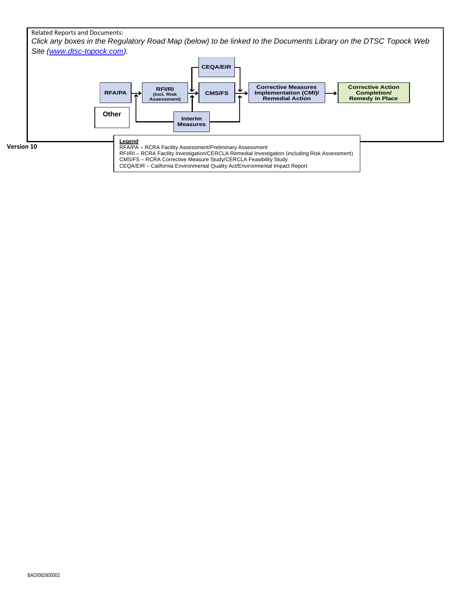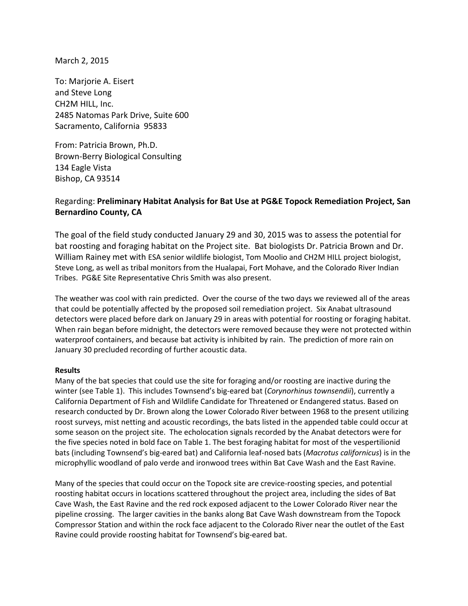March 2, 2015

To: Marjorie A. Eisert and Steve Long CH2M HILL, Inc. 2485 Natomas Park Drive, Suite 600 Sacramento, California 95833

From: Patricia Brown, Ph.D. Brown-Berry Biological Consulting 134 Eagle Vista Bishop, CA 93514

### Regarding: **Preliminary Habitat Analysis for Bat Use at PG&E Topock Remediation Project, San Bernardino County, CA**

The goal of the field study conducted January 29 and 30, 2015 was to assess the potential for bat roosting and foraging habitat on the Project site. Bat biologists Dr. Patricia Brown and Dr. William Rainey met with ESA senior wildlife biologist, Tom Moolio and CH2M HILL project biologist, Steve Long, as well as tribal monitors from the Hualapai, Fort Mohave, and the Colorado River Indian Tribes. PG&E Site Representative Chris Smith was also present.

The weather was cool with rain predicted. Over the course of the two days we reviewed all of the areas that could be potentially affected by the proposed soil remediation project. Six Anabat ultrasound detectors were placed before dark on January 29 in areas with potential for roosting or foraging habitat. When rain began before midnight, the detectors were removed because they were not protected within waterproof containers, and because bat activity is inhibited by rain. The prediction of more rain on January 30 precluded recording of further acoustic data.

#### **Results**

Many of the bat species that could use the site for foraging and/or roosting are inactive during the winter (see Table 1). This includes Townsend's big-eared bat (*Corynorhinus townsendii*), currently a California Department of Fish and Wildlife Candidate for Threatened or Endangered status. Based on research conducted by Dr. Brown along the Lower Colorado River between 1968 to the present utilizing roost surveys, mist netting and acoustic recordings, the bats listed in the appended table could occur at some season on the project site. The echolocation signals recorded by the Anabat detectors were for the five species noted in bold face on Table 1. The best foraging habitat for most of the vespertilionid bats (including Townsend's big-eared bat) and California leaf-nosed bats (*Macrotus californicus*) is in the microphyllic woodland of palo verde and ironwood trees within Bat Cave Wash and the East Ravine.

Many of the species that could occur on the Topock site are crevice-roosting species, and potential roosting habitat occurs in locations scattered throughout the project area, including the sides of Bat Cave Wash, the East Ravine and the red rock exposed adjacent to the Lower Colorado River near the pipeline crossing. The larger cavities in the banks along Bat Cave Wash downstream from the Topock Compressor Station and within the rock face adjacent to the Colorado River near the outlet of the East Ravine could provide roosting habitat for Townsend's big-eared bat.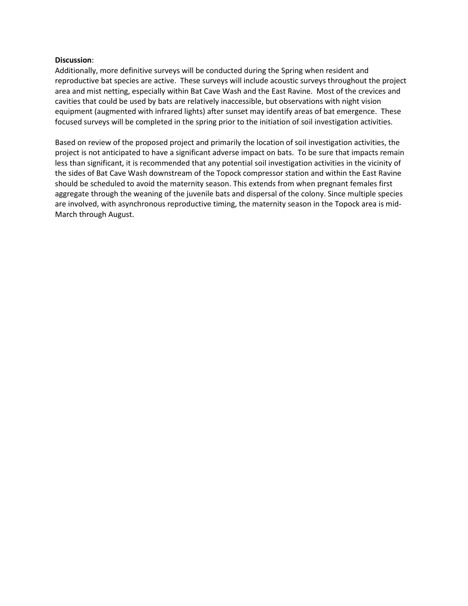#### **Discussion**:

Additionally, more definitive surveys will be conducted during the Spring when resident and reproductive bat species are active. These surveys will include acoustic surveys throughout the project area and mist netting, especially within Bat Cave Wash and the East Ravine. Most of the crevices and cavities that could be used by bats are relatively inaccessible, but observations with night vision equipment (augmented with infrared lights) after sunset may identify areas of bat emergence. These focused surveys will be completed in the spring prior to the initiation of soil investigation activities.

Based on review of the proposed project and primarily the location of soil investigation activities, the project is not anticipated to have a significant adverse impact on bats. To be sure that impacts remain less than significant, it is recommended that any potential soil investigation activities in the vicinity of the sides of Bat Cave Wash downstream of the Topock compressor station and within the East Ravine should be scheduled to avoid the maternity season. This extends from when pregnant females first aggregate through the weaning of the juvenile bats and dispersal of the colony. Since multiple species are involved, with asynchronous reproductive timing, the maternity season in the Topock area is mid-March through August.